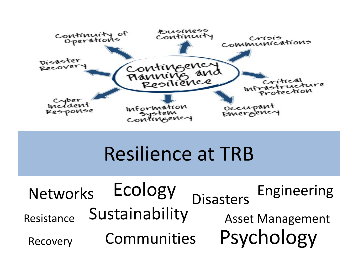

#### Resilience at TRB

Networks ECOIOgy <sub>Disastors</sub> Engineering Communities Ecology Psychology Resistance Recovery Sustainability Asset Management **Disasters**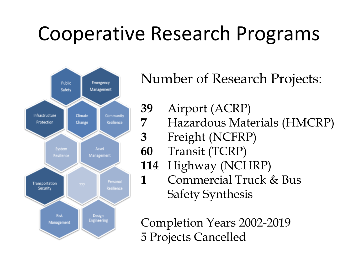# Cooperative Research Programs



Number of Research Projects:

- **39** Airport (ACRP)
- **7** Hazardous Materials (HMCRP)
- **3** Freight (NCFRP)
- **60** Transit (TCRP)
- **114** Highway (NCHRP)
- **1** Commercial Truck & Bus Safety Synthesis

Completion Years 2002-2019 5 Projects Cancelled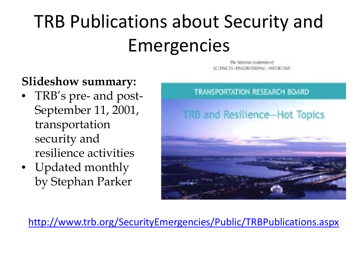# TRB Publications about Security and Emergencies

#### **Slideshow summary:**

- TRB's pre- and post-September 11, 2001, transportation security and resilience activities
- Updated monthly by Stephan Parker



The National Autobiography

<http://www.trb.org/SecurityEmergencies/Public/TRBPublications.aspx>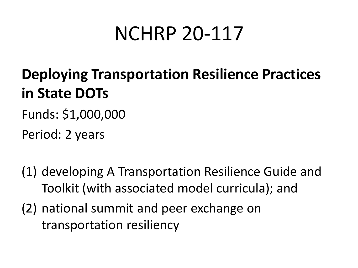#### NCHRP 20-117

#### **Deploying Transportation Resilience Practices in State DOTs**

Funds: \$1,000,000

Period: 2 years

- (1) developing A Transportation Resilience Guide and Toolkit (with associated model curricula); and
- (2) national summit and peer exchange on transportation resiliency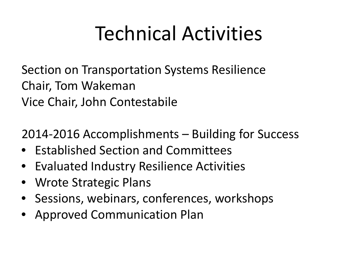# Technical Activities

Section on Transportation Systems Resilience Chair, Tom Wakeman Vice Chair, John Contestabile

2014-2016 Accomplishments – Building for Success

- Established Section and Committees
- Evaluated Industry Resilience Activities
- Wrote Strategic Plans
- Sessions, webinars, conferences, workshops
- Approved Communication Plan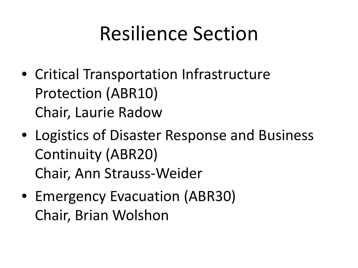#### Resilience Section

- Critical Transportation Infrastructure Protection (ABR10) Chair, Laurie Radow
- Logistics of Disaster Response and Business Continuity (ABR20) Chair, Ann Strauss-Weider
- Emergency Evacuation (ABR30) Chair, Brian Wolshon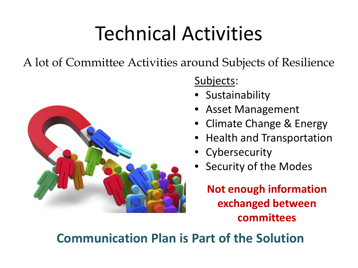# Technical Activities

A lot of Committee Activities around Subjects of Resilience



Subjects:

- Sustainability
- Asset Management
- Climate Change & Energy
- Health and Transportation
- Cybersecurity
- Security of the Modes

**Not enough information exchanged between committees**

#### **Communication Plan is Part of the Solution**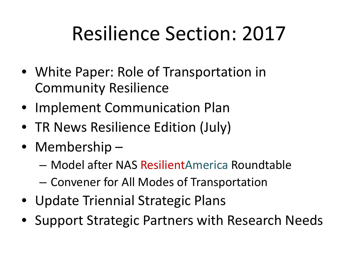## Resilience Section: 2017

- White Paper: Role of Transportation in Community Resilience
- Implement Communication Plan
- TR News Resilience Edition (July)
- Membership
	- Model after NAS ResilientAmerica Roundtable
	- Convener for All Modes of Transportation
- Update Triennial Strategic Plans
- Support Strategic Partners with Research Needs